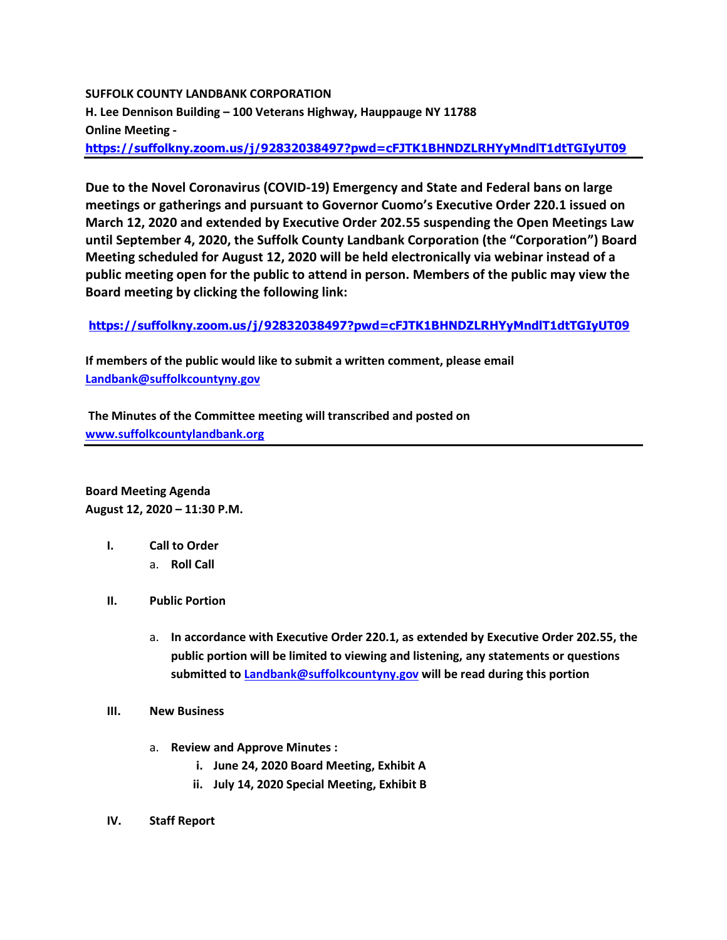# **SUFFOLK COUNTY LANDBANK CORPORATION H. Lee Dennison Building – 100 Veterans Highway, Hauppauge NY 11788 Online Meeting <https://suffolkny.zoom.us/j/92832038497?pwd=cFJTK1BHNDZLRHYyMndlT1dtTGIyUT09>**

**Due to the Novel Coronavirus (COVID-19) Emergency and State and Federal bans on large meetings or gatherings and pursuant to Governor Cuomo's Executive Order 220.1 issued on March 12, 2020 and extended by Executive Order 202.55 suspending the Open Meetings Law until September 4, 2020, the Suffolk County Landbank Corporation (the "Corporation") Board Meeting scheduled for August 12, 2020 will be held electronically via webinar instead of a public meeting open for the public to attend in person. Members of the public may view the Board meeting by clicking the following link:**

## **<https://suffolkny.zoom.us/j/92832038497?pwd=cFJTK1BHNDZLRHYyMndlT1dtTGIyUT09>**

**If members of the public would like to submit a written comment, please email [Landbank@suffolkcountyny.gov](mailto:Landbank@suffolkcountyny.gov)**

**The Minutes of the Committee meeting will transcribed and posted on [www.suffolkcountylandbank.org](http://www.suffolkcountylandbank.org/)**

**Board Meeting Agenda August 12, 2020 – 11:30 P.M.**

- **I. Call to Order** 
	- a. **Roll Call**
- **II. Public Portion** 
	- a. **In accordance with Executive Order 220.1, as extended by Executive Order 202.55, the public portion will be limited to viewing and listening, any statements or questions submitted t[o Landbank@suffolkcountyny.gov](mailto:Landbank@suffolkcountyny.gov) will be read during this portion**
- **III. New Business**
	- a. **Review and Approve Minutes :**
		- **i. June 24, 2020 Board Meeting, Exhibit A**
		- **ii. July 14, 2020 Special Meeting, Exhibit B**
- **IV. Staff Report**